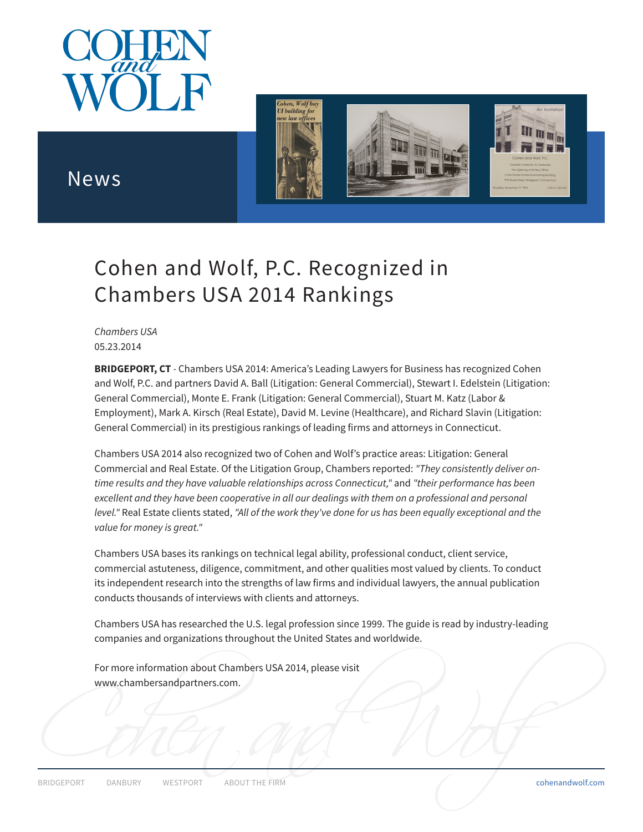



## News

## Cohen and Wolf, P.C. Recognized in Chambers USA 2014 Rankings

*Chambers USA* 05.23.2014

**BRIDGEPORT, CT***-* Chambers USA 2014: America's Leading Lawyers for Business has recognized Cohen and Wolf, P.C. and partners David A. Ball (Litigation: General Commercial), Stewart I. Edelstein (Litigation: General Commercial), Monte E. Frank (Litigation: General Commercial), Stuart M. Katz (Labor & Employment), Mark A. Kirsch (Real Estate), David M. Levine (Healthcare), and Richard Slavin (Litigation: General Commercial) in its prestigious rankings of leading firms and attorneys in Connecticut.

Chambers USA 2014 also recognized two of Cohen and Wolf's practice areas: Litigation: General Commercial and Real Estate. Of the Litigation Group, Chambers reported: *"They consistently deliver ontime results and they have valuable relationships across Connecticut,"* and *"their performance has been excellent and they have been cooperative in all our dealings with them on a professional and personal level."* Real Estate clients stated, *"All of the work they've done for us has been equally exceptional and the value for money is great."*

Chambers USA bases its rankings on technical legal ability, professional conduct, client service, commercial astuteness, diligence, commitment, and other qualities most valued by clients. To conduct its independent research into the strengths of law firms and individual lawyers, the annual publication conducts thousands of interviews with clients and attorneys.

Chambers USA has researched the U.S. legal profession since 1999. The guide is read by industry-leading companies and organizations throughout the United States and worldwide.

For more information about Chambers USA 2014, please visit www.chambersandpartners.com.